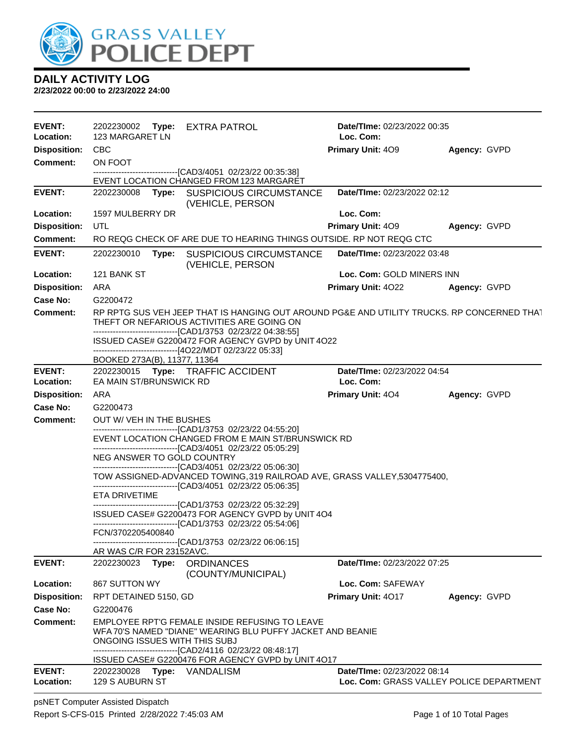

**2/23/2022 00:00 to 2/23/2022 24:00**

| <b>EVENT:</b>              | 2202230002<br>Type: EXTRA PATROL                                                                                                                                                                                                                                | Date/TIme: 02/23/2022 00:35              |              |
|----------------------------|-----------------------------------------------------------------------------------------------------------------------------------------------------------------------------------------------------------------------------------------------------------------|------------------------------------------|--------------|
| Location:                  | 123 MARGARET LN                                                                                                                                                                                                                                                 | Loc. Com:                                |              |
| <b>Disposition:</b>        | <b>CBC</b>                                                                                                                                                                                                                                                      | Primary Unit: 409                        | Agency: GVPD |
| <b>Comment:</b>            | ON FOOT<br>--------------------------------[CAD3/4051 02/23/22 00:35:38]                                                                                                                                                                                        |                                          |              |
|                            | EVENT LOCATION CHANGED FROM 123 MARGARET                                                                                                                                                                                                                        |                                          |              |
| <b>EVENT:</b>              | 2202230008<br><b>SUSPICIOUS CIRCUMSTANCE</b><br>Type:<br>(VEHICLE, PERSON                                                                                                                                                                                       | Date/TIme: 02/23/2022 02:12              |              |
| Location:                  | 1597 MULBERRY DR                                                                                                                                                                                                                                                | Loc. Com:                                |              |
| <b>Disposition:</b>        | UTL                                                                                                                                                                                                                                                             | Primary Unit: 409                        | Agency: GVPD |
| <b>Comment:</b>            | RO REQG CHECK OF ARE DUE TO HEARING THINGS OUTSIDE. RP NOT REQG CTC                                                                                                                                                                                             |                                          |              |
| <b>EVENT:</b>              | 2202230010<br>Type:<br><b>SUSPICIOUS CIRCUMSTANCE</b><br>(VEHICLE, PERSON                                                                                                                                                                                       | Date/TIme: 02/23/2022 03:48              |              |
| Location:                  | 121 BANK ST                                                                                                                                                                                                                                                     | Loc. Com: GOLD MINERS INN                |              |
| <b>Disposition:</b>        | ARA                                                                                                                                                                                                                                                             | Primary Unit: 4022                       | Agency: GVPD |
| Case No:                   | G2200472                                                                                                                                                                                                                                                        |                                          |              |
| <b>Comment:</b>            | RP RPTG SUS VEH JEEP THAT IS HANGING OUT AROUND PG&E AND UTILITY TRUCKS. RP CONCERNED THAT<br>THEFT OR NEFARIOUS ACTIVITIES ARE GOING ON<br>--------------------------------[CAD1/3753 02/23/22 04:38:55]<br>ISSUED CASE# G2200472 FOR AGENCY GVPD by UNIT 4O22 |                                          |              |
|                            | ------------------------------[4O22/MDT 02/23/22 05:33]<br>BOOKED 273A(B), 11377, 11364                                                                                                                                                                         |                                          |              |
| <b>EVENT:</b><br>Location: | 2202230015 Type: TRAFFIC ACCIDENT<br>EA MAIN ST/BRUNSWICK RD                                                                                                                                                                                                    | Date/TIme: 02/23/2022 04:54<br>Loc. Com: |              |
| <b>Disposition:</b>        | ARA                                                                                                                                                                                                                                                             | <b>Primary Unit: 404</b>                 | Agency: GVPD |
| Case No:                   | G2200473                                                                                                                                                                                                                                                        |                                          |              |
| <b>Comment:</b>            | OUT W/ VEH IN THE BUSHES                                                                                                                                                                                                                                        |                                          |              |
|                            | -------------------------------[CAD1/3753 02/23/22 04:55:20]<br>EVENT LOCATION CHANGED FROM E MAIN ST/BRUNSWICK RD<br>-------------------------------[CAD3/4051 02/23/22 05:05:29]                                                                              |                                          |              |
|                            | NEG ANSWER TO GOLD COUNTRY<br>--------------------------------[CAD3/4051 02/23/22 05:06:30]                                                                                                                                                                     |                                          |              |
|                            | TOW ASSIGNED-ADVANCED TOWING, 319 RAILROAD AVE, GRASS VALLEY, 5304775400,<br>--------------------------------[CAD3/4051 02/23/22 05:06:35]                                                                                                                      |                                          |              |
|                            | <b>ETA DRIVETIME</b>                                                                                                                                                                                                                                            |                                          |              |
|                            | ----------------------------------[CAD1/3753 02/23/22 05:32:29]<br>ISSUED CASE# G2200473 FOR AGENCY GVPD by UNIT 4O4                                                                                                                                            |                                          |              |
|                            | -------------------------------[CAD1/3753 02/23/22 05:54:06]                                                                                                                                                                                                    |                                          |              |
|                            | FCN/3702205400840<br>------------------------------[CAD1/3753 02/23/22 06:06:15]                                                                                                                                                                                |                                          |              |
|                            | AR WAS C/R FOR 23152AVC.                                                                                                                                                                                                                                        |                                          |              |
| <b>EVENT:</b>              | 2202230023<br>Type:<br><b>ORDINANCES</b><br>(COUNTY/MUNICIPAL)                                                                                                                                                                                                  | Date/TIme: 02/23/2022 07:25              |              |
| Location:                  | 867 SUTTON WY                                                                                                                                                                                                                                                   | Loc. Com: SAFEWAY                        |              |
| <b>Disposition:</b>        | RPT DETAINED 5150, GD                                                                                                                                                                                                                                           | Primary Unit: 4017                       | Agency: GVPD |
| Case No:                   | G2200476                                                                                                                                                                                                                                                        |                                          |              |
| Comment:                   | EMPLOYEE RPT'G FEMALE INSIDE REFUSING TO LEAVE<br>WFA 70'S NAMED "DIANE" WEARING BLU PUFFY JACKET AND BEANIE<br>ONGOING ISSUES WITH THIS SUBJ<br>------------------------------[CAD2/4116_02/23/22_08:48:17]                                                    |                                          |              |
|                            | ISSUED CASE# G2200476 FOR AGENCY GVPD by UNIT 4O17                                                                                                                                                                                                              |                                          |              |
| EVENT:                     | 2202230028 Type: VANDALISM                                                                                                                                                                                                                                      | Date/TIme: 02/23/2022 08:14              |              |
| Location:                  | 129 S AUBURN ST                                                                                                                                                                                                                                                 | Loc. Com: GRASS VALLEY POLICE DEPARTMENT |              |

psNET Computer Assisted Dispatch Report S-CFS-015 Printed 2/28/2022 7:45:03 AM Page 1 of 10 Total Pages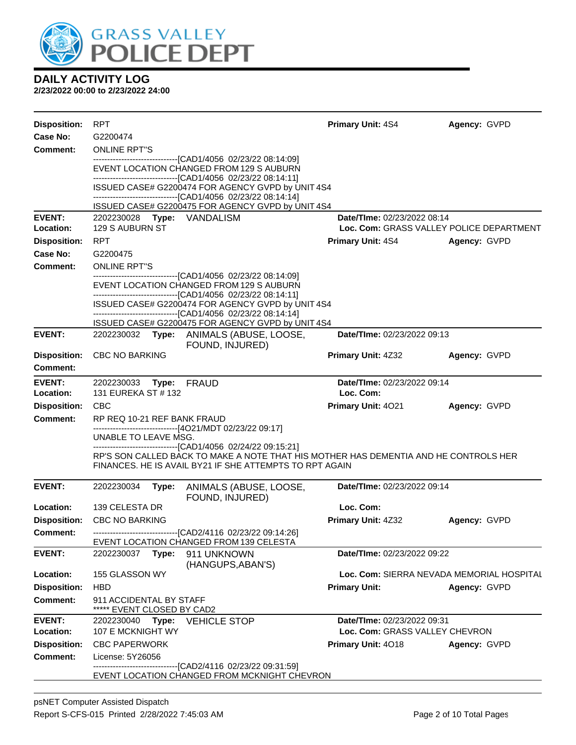

| <b>Disposition:</b>                    | <b>RPT</b>                                                                                                                                                               |                                                                                                                                                                                    | <b>Primary Unit: 4S4</b>           | Agency: GVPD                              |  |  |
|----------------------------------------|--------------------------------------------------------------------------------------------------------------------------------------------------------------------------|------------------------------------------------------------------------------------------------------------------------------------------------------------------------------------|------------------------------------|-------------------------------------------|--|--|
| Case No:                               | G2200474                                                                                                                                                                 |                                                                                                                                                                                    |                                    |                                           |  |  |
| <b>Comment:</b>                        | <b>ONLINE RPT"S</b>                                                                                                                                                      |                                                                                                                                                                                    |                                    |                                           |  |  |
|                                        | -------------------------------[CAD1/4056 02/23/22 08:14:09]<br>EVENT LOCATION CHANGED FROM 129 S AUBURN<br>-------------------------------[CAD1/4056 02/23/22 08:14:11] |                                                                                                                                                                                    |                                    |                                           |  |  |
|                                        |                                                                                                                                                                          | ISSUED CASE# G2200474 FOR AGENCY GVPD by UNIT 4S4<br>-------------------------------[CAD1/4056 02/23/22 08:14:14]                                                                  |                                    |                                           |  |  |
|                                        |                                                                                                                                                                          | ISSUED CASE# G2200475 FOR AGENCY GVPD by UNIT 4S4                                                                                                                                  |                                    |                                           |  |  |
| <b>EVENT:</b>                          |                                                                                                                                                                          | 2202230028 Type: VANDALISM                                                                                                                                                         | <b>Date/TIme: 02/23/2022 08:14</b> |                                           |  |  |
| Location:                              | 129 S AUBURN ST                                                                                                                                                          |                                                                                                                                                                                    |                                    | Loc. Com: GRASS VALLEY POLICE DEPARTMENT  |  |  |
| <b>Disposition:</b>                    | <b>RPT</b>                                                                                                                                                               |                                                                                                                                                                                    | <b>Primary Unit: 4S4</b>           | Agency: GVPD                              |  |  |
| Case No:                               | G2200475                                                                                                                                                                 |                                                                                                                                                                                    |                                    |                                           |  |  |
| <b>Comment:</b>                        | <b>ONLINE RPT"S</b>                                                                                                                                                      |                                                                                                                                                                                    |                                    |                                           |  |  |
|                                        |                                                                                                                                                                          | -------------------------------[CAD1/4056 02/23/22 08:14:09]<br>EVENT LOCATION CHANGED FROM 129 S AUBURN                                                                           |                                    |                                           |  |  |
|                                        |                                                                                                                                                                          | --------------------------------[CAD1/4056 02/23/22 08:14:11]<br>ISSUED CASE# G2200474 FOR AGENCY GVPD by UNIT 4S4<br>-------------------------------[CAD1/4056 02/23/22 08:14:14] |                                    |                                           |  |  |
|                                        |                                                                                                                                                                          | ISSUED CASE# G2200475 FOR AGENCY GVPD by UNIT 4S4                                                                                                                                  |                                    |                                           |  |  |
| <b>EVENT:</b>                          |                                                                                                                                                                          | 2202230032 Type: ANIMALS (ABUSE, LOOSE,<br>FOUND, INJURED)                                                                                                                         | Date/TIme: 02/23/2022 09:13        |                                           |  |  |
| <b>Disposition:</b><br><b>Comment:</b> | <b>CBC NO BARKING</b>                                                                                                                                                    |                                                                                                                                                                                    | <b>Primary Unit: 4Z32</b>          | Agency: GVPD                              |  |  |
| <b>EVENT:</b>                          | 2202230033 Type: FRAUD                                                                                                                                                   |                                                                                                                                                                                    | <b>Date/Time: 02/23/2022 09:14</b> |                                           |  |  |
| Location:                              | 131 EUREKA ST # 132                                                                                                                                                      |                                                                                                                                                                                    | Loc. Com:                          |                                           |  |  |
| <b>Disposition:</b>                    | <b>CBC</b>                                                                                                                                                               |                                                                                                                                                                                    | Primary Unit: 4021                 | Agency: GVPD                              |  |  |
| <b>Comment:</b>                        | RP REQ 10-21 REF BANK FRAUD                                                                                                                                              |                                                                                                                                                                                    |                                    |                                           |  |  |
|                                        | UNABLE TO LEAVE MSG.                                                                                                                                                     | ------------------------------[4O21/MDT 02/23/22 09:17]                                                                                                                            |                                    |                                           |  |  |
|                                        | -------------------------------[CAD1/4056_02/24/22_09:15:21]<br>RP'S SON CALLED BACK TO MAKE A NOTE THAT HIS MOTHER HAS DEMENTIA AND HE CONTROLS HER                     |                                                                                                                                                                                    |                                    |                                           |  |  |
|                                        |                                                                                                                                                                          | FINANCES. HE IS AVAIL BY21 IF SHE ATTEMPTS TO RPT AGAIN                                                                                                                            |                                    |                                           |  |  |
| <b>EVENT:</b>                          | 2202230034                                                                                                                                                               | ANIMALS (ABUSE, LOOSE,<br>Type:<br>FOUND, INJURED)                                                                                                                                 | Date/TIme: 02/23/2022 09:14        |                                           |  |  |
| Location:                              | 139 CELESTA DR                                                                                                                                                           |                                                                                                                                                                                    | Loc. Com:                          |                                           |  |  |
| <b>Disposition:</b>                    | <b>CBC NO BARKING</b>                                                                                                                                                    |                                                                                                                                                                                    | <b>Primary Unit: 4Z32</b>          | Agency: GVPD                              |  |  |
| <b>Comment:</b>                        |                                                                                                                                                                          | -------------------------------[CAD2/4116 02/23/22 09:14:26]                                                                                                                       |                                    |                                           |  |  |
|                                        |                                                                                                                                                                          | EVENT LOCATION CHANGED FROM 139 CELESTA                                                                                                                                            |                                    |                                           |  |  |
| <b>EVENT:</b>                          | 2202230037                                                                                                                                                               | Type:<br>911 UNKNOWN<br>(HANGUPS, ABAN'S)                                                                                                                                          | Date/TIme: 02/23/2022 09:22        |                                           |  |  |
| Location:                              | 155 GLASSON WY                                                                                                                                                           |                                                                                                                                                                                    |                                    | Loc. Com: SIERRA NEVADA MEMORIAL HOSPITAL |  |  |
| <b>Disposition:</b>                    | <b>HBD</b>                                                                                                                                                               |                                                                                                                                                                                    | <b>Primary Unit:</b>               | Agency: GVPD                              |  |  |
| <b>Comment:</b>                        | 911 ACCIDENTAL BY STAFF<br>***** EVENT CLOSED BY CAD2                                                                                                                    |                                                                                                                                                                                    |                                    |                                           |  |  |
| <b>EVENT:</b>                          | 2202230040                                                                                                                                                               | Type:<br><b>VEHICLE STOP</b>                                                                                                                                                       | Date/TIme: 02/23/2022 09:31        |                                           |  |  |
| Location:                              | 107 E MCKNIGHT WY                                                                                                                                                        |                                                                                                                                                                                    | Loc. Com: GRASS VALLEY CHEVRON     |                                           |  |  |
| <b>Disposition:</b>                    | <b>CBC PAPERWORK</b>                                                                                                                                                     |                                                                                                                                                                                    | Primary Unit: 4018                 | Agency: GVPD                              |  |  |
| <b>Comment:</b>                        | License: 5Y26056                                                                                                                                                         | ------------------[CAD2/4116_02/23/22_09:31:59]                                                                                                                                    |                                    |                                           |  |  |
|                                        |                                                                                                                                                                          | EVENT LOCATION CHANGED FROM MCKNIGHT CHEVRON                                                                                                                                       |                                    |                                           |  |  |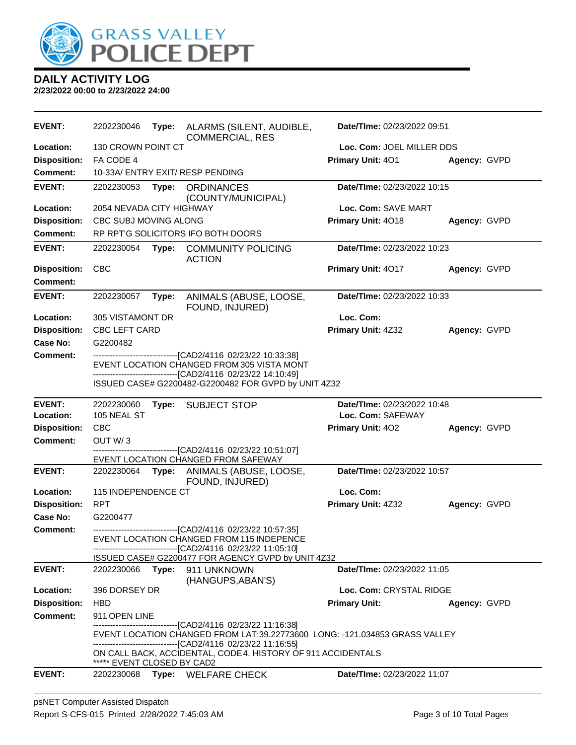

| <b>EVENT:</b>       | 2202230046                               | Type: | ALARMS (SILENT, AUDIBLE,<br><b>COMMERCIAL, RES</b>                                                                                                                                                   | Date/TIme: 02/23/2022 09:51 |              |
|---------------------|------------------------------------------|-------|------------------------------------------------------------------------------------------------------------------------------------------------------------------------------------------------------|-----------------------------|--------------|
| Location:           | 130 CROWN POINT CT                       |       |                                                                                                                                                                                                      | Loc. Com: JOEL MILLER DDS   |              |
| <b>Disposition:</b> | FA CODE 4                                |       |                                                                                                                                                                                                      | Primary Unit: 401           | Agency: GVPD |
| <b>Comment:</b>     |                                          |       | 10-33A/ ENTRY EXIT/ RESP PENDING                                                                                                                                                                     |                             |              |
| <b>EVENT:</b>       | 2202230053                               | Type: | <b>ORDINANCES</b><br>(COUNTY/MUNICIPAL)                                                                                                                                                              | Date/TIme: 02/23/2022 10:15 |              |
| Location:           | 2054 NEVADA CITY HIGHWAY                 |       |                                                                                                                                                                                                      | Loc. Com: SAVE MART         |              |
| <b>Disposition:</b> | CBC SUBJ MOVING ALONG                    |       |                                                                                                                                                                                                      | Primary Unit: 4018          | Agency: GVPD |
| <b>Comment:</b>     |                                          |       | RP RPT'G SOLICITORS IFO BOTH DOORS                                                                                                                                                                   |                             |              |
| <b>EVENT:</b>       | 2202230054                               | Type: | <b>COMMUNITY POLICING</b><br><b>ACTION</b>                                                                                                                                                           | Date/TIme: 02/23/2022 10:23 |              |
| <b>Disposition:</b> | <b>CBC</b>                               |       |                                                                                                                                                                                                      | Primary Unit: 4017          | Agency: GVPD |
| <b>Comment:</b>     |                                          |       |                                                                                                                                                                                                      |                             |              |
| <b>EVENT:</b>       | 2202230057                               | Type: | ANIMALS (ABUSE, LOOSE,<br>FOUND, INJURED)                                                                                                                                                            | Date/TIme: 02/23/2022 10:33 |              |
| Location:           | 305 VISTAMONT DR                         |       |                                                                                                                                                                                                      | Loc. Com:                   |              |
| <b>Disposition:</b> | <b>CBC LEFT CARD</b>                     |       |                                                                                                                                                                                                      | Primary Unit: 4Z32          | Agency: GVPD |
| <b>Case No:</b>     | G2200482                                 |       |                                                                                                                                                                                                      |                             |              |
| Comment:            |                                          |       | ---------------------------------[CAD2/4116 02/23/22 10:33:38]                                                                                                                                       |                             |              |
|                     |                                          |       | EVENT LOCATION CHANGED FROM 305 VISTA MONT                                                                                                                                                           |                             |              |
|                     |                                          |       | --------------------------------[CAD2/4116 02/23/22 14:10:49]<br>ISSUED CASE# G2200482-G2200482 FOR GVPD by UNIT 4Z32                                                                                |                             |              |
| <b>EVENT:</b>       | 2202230060                               |       | Type: SUBJECT STOP                                                                                                                                                                                   | Date/TIme: 02/23/2022 10:48 |              |
| Location:           | 105 NEAL ST                              |       |                                                                                                                                                                                                      | Loc. Com: SAFEWAY           |              |
| <b>Disposition:</b> | <b>CBC</b>                               |       |                                                                                                                                                                                                      | Primary Unit: 402           | Agency: GVPD |
| <b>Comment:</b>     | OUT W/3                                  |       |                                                                                                                                                                                                      |                             |              |
|                     |                                          |       | ------------------[CAD2/4116 02/23/22 10:51:07]<br>EVENT LOCATION CHANGED FROM SAFEWAY                                                                                                               |                             |              |
| <b>EVENT:</b>       | 2202230064                               | Type: | ANIMALS (ABUSE, LOOSE,                                                                                                                                                                               | Date/TIme: 02/23/2022 10:57 |              |
|                     |                                          |       | FOUND, INJURED)                                                                                                                                                                                      |                             |              |
| Location:           | 115 INDEPENDENCE CT                      |       |                                                                                                                                                                                                      | Loc. Com:                   |              |
| <b>Disposition:</b> | <b>RPT</b>                               |       |                                                                                                                                                                                                      | Primary Unit: 4Z32          | Agency: GVPD |
| Case No:            | G2200477                                 |       |                                                                                                                                                                                                      |                             |              |
| Comment:            |                                          |       | -------------------------------[CAD2/4116 02/23/22 10:57:35]<br>EVENT LOCATION CHANGED FROM 115 INDEPENCE<br>-------------------------------[CAD2/4116 02/23/22 11:05:10]                            |                             |              |
|                     |                                          |       | ISSUED CASE# G2200477 FOR AGENCY GVPD by UNIT 4Z32                                                                                                                                                   |                             |              |
| <b>EVENT:</b>       | 2202230066                               |       | Type: 911 UNKNOWN<br>(HANGUPS, ABAN'S)                                                                                                                                                               | Date/TIme: 02/23/2022 11:05 |              |
| Location:           | 396 DORSEY DR                            |       |                                                                                                                                                                                                      | Loc. Com: CRYSTAL RIDGE     |              |
| <b>Disposition:</b> | <b>HBD</b>                               |       |                                                                                                                                                                                                      | <b>Primary Unit:</b>        | Agency: GVPD |
| <b>Comment:</b>     | 911 OPEN LINE                            |       |                                                                                                                                                                                                      |                             |              |
|                     |                                          |       | -------------------------------[CAD2/4116 02/23/22 11:16:38]<br>EVENT LOCATION CHANGED FROM LAT:39.22773600 LONG: -121.034853 GRASS VALLEY<br>-------------------------[CAD2/4116_02/23/22_11:16:55] |                             |              |
|                     |                                          |       | ON CALL BACK, ACCIDENTAL, CODE 4. HISTORY OF 911 ACCIDENTALS                                                                                                                                         |                             |              |
| <b>EVENT:</b>       | ***** EVENT CLOSED BY CAD2<br>2202230068 |       | Type: WELFARE CHECK                                                                                                                                                                                  | Date/TIme: 02/23/2022 11:07 |              |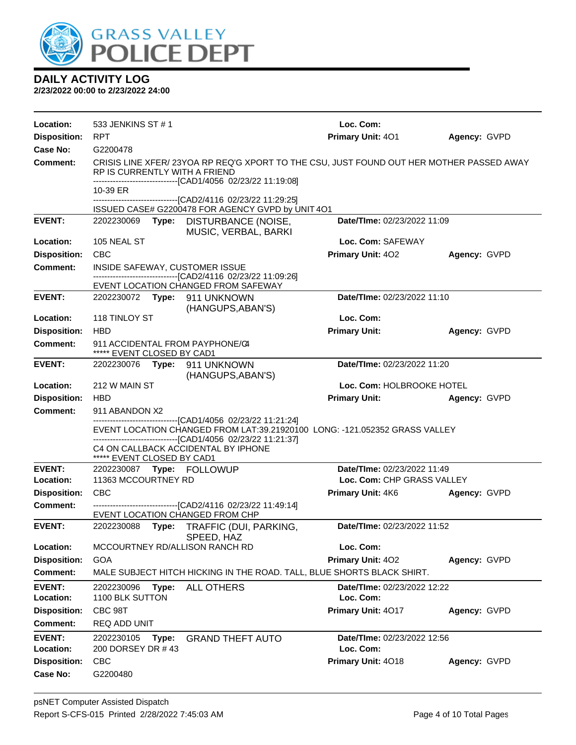

| Location:                  | 533 JENKINS ST #1                                                                                                                                                                                          |                                                                                                                                                         | Loc. Com:                                |              |
|----------------------------|------------------------------------------------------------------------------------------------------------------------------------------------------------------------------------------------------------|---------------------------------------------------------------------------------------------------------------------------------------------------------|------------------------------------------|--------------|
| <b>Disposition:</b>        | RPT                                                                                                                                                                                                        |                                                                                                                                                         | Primary Unit: 401                        | Agency: GVPD |
| Case No:                   | G2200478                                                                                                                                                                                                   |                                                                                                                                                         |                                          |              |
| Comment:                   | RP IS CURRENTLY WITH A FRIEND                                                                                                                                                                              | CRISIS LINE XFER/23YOA RP REQ'G XPORT TO THE CSU, JUST FOUND OUT HER MOTHER PASSED AWAY<br>-------------------------------[CAD1/4056 02/23/22 11:19:08] |                                          |              |
|                            | 10-39 ER                                                                                                                                                                                                   | -------------------------------[CAD2/4116 02/23/22 11:29:25]                                                                                            |                                          |              |
|                            |                                                                                                                                                                                                            | ISSUED CASE# G2200478 FOR AGENCY GVPD by UNIT 4O1                                                                                                       |                                          |              |
| <b>EVENT:</b>              | 2202230069                                                                                                                                                                                                 | Type: DISTURBANCE (NOISE,<br>MUSIC, VERBAL, BARKI                                                                                                       | Date/TIme: 02/23/2022 11:09              |              |
| Location:                  | 105 NEAL ST                                                                                                                                                                                                |                                                                                                                                                         | Loc. Com: SAFEWAY                        |              |
| <b>Disposition:</b>        | <b>CBC</b>                                                                                                                                                                                                 |                                                                                                                                                         | Primary Unit: 402                        | Agency: GVPD |
| <b>Comment:</b>            | INSIDE SAFEWAY, CUSTOMER ISSUE                                                                                                                                                                             | -------------------------[CAD2/4116 02/23/22 11:09:26]                                                                                                  |                                          |              |
|                            |                                                                                                                                                                                                            | EVENT LOCATION CHANGED FROM SAFEWAY                                                                                                                     |                                          |              |
| <b>EVENT:</b>              | 2202230072 Type: 911 UNKNOWN                                                                                                                                                                               | (HANGUPS, ABAN'S)                                                                                                                                       | Date/TIme: 02/23/2022 11:10              |              |
| Location:                  | 118 TINLOY ST                                                                                                                                                                                              |                                                                                                                                                         | Loc. Com:                                |              |
| <b>Disposition:</b>        | <b>HBD</b>                                                                                                                                                                                                 |                                                                                                                                                         | <b>Primary Unit:</b>                     | Agency: GVPD |
| <b>Comment:</b>            | 911 ACCIDENTAL FROM PAYPHONE/C4<br>***** EVENT CLOSED BY CAD1                                                                                                                                              |                                                                                                                                                         |                                          |              |
| <b>EVENT:</b>              | 2202230076 Type: 911 UNKNOWN                                                                                                                                                                               | (HANGUPS, ABAN'S)                                                                                                                                       | Date/TIme: 02/23/2022 11:20              |              |
| Location:                  | 212 W MAIN ST                                                                                                                                                                                              |                                                                                                                                                         | Loc. Com: HOLBROOKE HOTEL                |              |
| <b>Disposition:</b>        | <b>HBD</b>                                                                                                                                                                                                 |                                                                                                                                                         | <b>Primary Unit:</b>                     | Agency: GVPD |
| <b>Comment:</b>            | 911 ABANDON X2                                                                                                                                                                                             |                                                                                                                                                         |                                          |              |
|                            | -------------------------------[CAD1/4056 02/23/22 11:21:24]<br>EVENT LOCATION CHANGED FROM LAT:39.21920100 LONG: -121.052352 GRASS VALLEY<br>-------------------------------[CAD1/4056 02/23/22 11:21:37] |                                                                                                                                                         |                                          |              |
|                            | ***** EVENT CLOSED BY CAD1                                                                                                                                                                                 | C4 ON CALLBACK ACCIDENTAL BY IPHONE                                                                                                                     |                                          |              |
| <b>EVENT:</b>              | 2202230087 Type: FOLLOWUP                                                                                                                                                                                  |                                                                                                                                                         | Date/TIme: 02/23/2022 11:49              |              |
| Location:                  | 11363 MCCOURTNEY RD                                                                                                                                                                                        |                                                                                                                                                         | Loc. Com: CHP GRASS VALLEY               |              |
| <b>Disposition:</b>        | <b>CBC</b>                                                                                                                                                                                                 |                                                                                                                                                         | Primary Unit: 4K6                        | Agency: GVPD |
| <b>Comment:</b>            | EVENT LOCATION CHANGED FROM CHP                                                                                                                                                                            | -------------------------------[CAD2/4116 02/23/22 11:49:14]                                                                                            |                                          |              |
| <b>EVENT:</b>              | 2202230088                                                                                                                                                                                                 | Type: TRAFFIC (DUI, PARKING,<br>SPEED, HAZ                                                                                                              | Date/TIme: 02/23/2022 11:52              |              |
| Location:                  | MCCOURTNEY RD/ALLISON RANCH RD                                                                                                                                                                             |                                                                                                                                                         | Loc. Com:                                |              |
| <b>Disposition:</b>        | <b>GOA</b>                                                                                                                                                                                                 |                                                                                                                                                         | Primary Unit: 402                        | Agency: GVPD |
| <b>Comment:</b>            |                                                                                                                                                                                                            | MALE SUBJECT HITCH HICKING IN THE ROAD. TALL, BLUE SHORTS BLACK SHIRT.                                                                                  |                                          |              |
| <b>EVENT:</b><br>Location: | 2202230096<br>Type:<br>1100 BLK SUTTON                                                                                                                                                                     | <b>ALL OTHERS</b>                                                                                                                                       | Date/TIme: 02/23/2022 12:22<br>Loc. Com: |              |
| <b>Disposition:</b>        | CBC 98T                                                                                                                                                                                                    |                                                                                                                                                         | Primary Unit: 4017                       | Agency: GVPD |
| <b>Comment:</b>            | REQ ADD UNIT                                                                                                                                                                                               |                                                                                                                                                         |                                          |              |
| <b>EVENT:</b><br>Location: | 2202230105<br>Type:<br>200 DORSEY DR #43                                                                                                                                                                   | <b>GRAND THEFT AUTO</b>                                                                                                                                 | Date/TIme: 02/23/2022 12:56<br>Loc. Com: |              |
| <b>Disposition:</b>        | CBC                                                                                                                                                                                                        |                                                                                                                                                         | Primary Unit: 4018                       | Agency: GVPD |
| <b>Case No:</b>            | G2200480                                                                                                                                                                                                   |                                                                                                                                                         |                                          |              |
|                            |                                                                                                                                                                                                            |                                                                                                                                                         |                                          |              |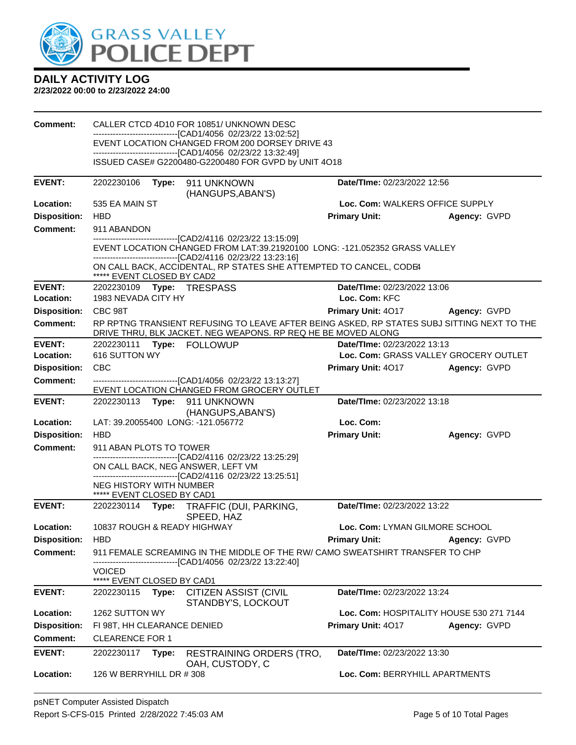

| <b>Comment:</b>                 | CALLER CTCD 4D10 FOR 10851/ UNKNOWN DESC                                                                        |                                                                                                                                                                                                            |                                          |              |  |
|---------------------------------|-----------------------------------------------------------------------------------------------------------------|------------------------------------------------------------------------------------------------------------------------------------------------------------------------------------------------------------|------------------------------------------|--------------|--|
|                                 | -------------------------------[CAD1/4056 02/23/22 13:02:52]<br>EVENT LOCATION CHANGED FROM 200 DORSEY DRIVE 43 |                                                                                                                                                                                                            |                                          |              |  |
|                                 | -------------------------------[CAD1/4056 02/23/22 13:32:49]                                                    |                                                                                                                                                                                                            |                                          |              |  |
|                                 |                                                                                                                 | ISSUED CASE# G2200480-G2200480 FOR GVPD by UNIT 4O18                                                                                                                                                       |                                          |              |  |
| <b>EVENT:</b>                   | 2202230106                                                                                                      | Type: 911 UNKNOWN                                                                                                                                                                                          | Date/TIme: 02/23/2022 12:56              |              |  |
| Location:                       | 535 EA MAIN ST                                                                                                  | (HANGUPS, ABAN'S)                                                                                                                                                                                          | Loc. Com: WALKERS OFFICE SUPPLY          |              |  |
| <b>Disposition:</b>             | <b>HBD</b>                                                                                                      |                                                                                                                                                                                                            | <b>Primary Unit:</b>                     | Agency: GVPD |  |
| Comment:                        | 911 ABANDON                                                                                                     |                                                                                                                                                                                                            |                                          |              |  |
|                                 |                                                                                                                 | -------------------------------[CAD2/4116 02/23/22 13:15:09]<br>EVENT LOCATION CHANGED FROM LAT:39.21920100 LONG: -121.052352 GRASS VALLEY<br>-------------------------------[CAD2/4116 02/23/22 13:23:16] |                                          |              |  |
|                                 | ***** EVENT CLOSED BY CAD2                                                                                      | ON CALL BACK, ACCIDENTAL, RP STATES SHE ATTEMPTED TO CANCEL, CODE4                                                                                                                                         |                                          |              |  |
| <b>EVENT:</b>                   | 2202230109    Type: TRESPASS                                                                                    |                                                                                                                                                                                                            | Date/TIme: 02/23/2022 13:06              |              |  |
| Location:                       | 1983 NEVADA CITY HY                                                                                             |                                                                                                                                                                                                            | Loc. Com: KFC                            |              |  |
| <b>Disposition:</b><br>Comment: | CBC 98T                                                                                                         |                                                                                                                                                                                                            | <b>Primary Unit: 4017</b>                | Agency: GVPD |  |
|                                 |                                                                                                                 | RP RPTNG TRANSIENT REFUSING TO LEAVE AFTER BEING ASKED, RP STATES SUBJ SITTING NEXT TO THE<br>DRIVE THRU, BLK JACKET. NEG WEAPONS. RP REQ HE BE MOVED ALONG                                                |                                          |              |  |
| <b>EVENT:</b>                   | Date/TIme: 02/23/2022 13:13<br>2202230111 Type: FOLLOWUP                                                        |                                                                                                                                                                                                            |                                          |              |  |
| Location:                       | 616 SUTTON WY                                                                                                   |                                                                                                                                                                                                            | Loc. Com: GRASS VALLEY GROCERY OUTLET    |              |  |
| <b>Disposition:</b>             | <b>CBC</b>                                                                                                      |                                                                                                                                                                                                            | <b>Primary Unit: 4017</b>                | Agency: GVPD |  |
| <b>Comment:</b>                 |                                                                                                                 | -------------------------------[CAD1/4056 02/23/22 13:13:27]<br>EVENT LOCATION CHANGED FROM GROCERY OUTLET                                                                                                 |                                          |              |  |
| <b>EVENT:</b>                   | Date/TIme: 02/23/2022 13:18<br>2202230113 Type: 911 UNKNOWN<br>(HANGUPS, ABAN'S)                                |                                                                                                                                                                                                            |                                          |              |  |
| Location:                       | LAT: 39.20055400 LONG: -121.056772                                                                              |                                                                                                                                                                                                            | Loc. Com:                                |              |  |
| <b>Disposition:</b>             | <b>HBD</b>                                                                                                      |                                                                                                                                                                                                            | <b>Primary Unit:</b>                     | Agency: GVPD |  |
| <b>Comment:</b>                 | 911 ABAN PLOTS TO TOWER                                                                                         |                                                                                                                                                                                                            |                                          |              |  |
|                                 | ON CALL BACK, NEG ANSWER, LEFT VM                                                                               | -------------------------------[CAD2/4116 02/23/22 13:25:29]                                                                                                                                               |                                          |              |  |
|                                 | <b>NEG HISTORY WITH NUMBER</b>                                                                                  | -------------------------------[CAD2/4116 02/23/22 13:25:51]                                                                                                                                               |                                          |              |  |
|                                 | ***** EVENT CLOSED BY CAD1                                                                                      |                                                                                                                                                                                                            |                                          |              |  |
| <b>EVENT:</b>                   |                                                                                                                 | 2202230114 Type: TRAFFIC (DUI, PARKING,<br>SPEED, HAZ                                                                                                                                                      | Date/TIme: 02/23/2022 13:22              |              |  |
| Location:                       | 10837 ROUGH & READY HIGHWAY                                                                                     |                                                                                                                                                                                                            | Loc. Com: LYMAN GILMORE SCHOOL           |              |  |
| <b>Disposition:</b>             | <b>HBD</b>                                                                                                      |                                                                                                                                                                                                            | <b>Primary Unit:</b>                     | Agency: GVPD |  |
| Comment:                        |                                                                                                                 | 911 FEMALE SCREAMING IN THE MIDDLE OF THE RW/ CAMO SWEATSHIRT TRANSFER TO CHP<br>-------------------[CAD1/4056_02/23/22 13:22:40]                                                                          |                                          |              |  |
|                                 | <b>VOICED</b>                                                                                                   |                                                                                                                                                                                                            |                                          |              |  |
|                                 | ***** EVENT CLOSED BY CAD1                                                                                      |                                                                                                                                                                                                            |                                          |              |  |
| <b>EVENT:</b>                   | 2202230115<br>Type:                                                                                             | <b>CITIZEN ASSIST (CIVIL</b><br>STANDBY'S, LOCKOUT                                                                                                                                                         | Date/TIme: 02/23/2022 13:24              |              |  |
| Location:                       | 1262 SUTTON WY                                                                                                  |                                                                                                                                                                                                            | Loc. Com: HOSPITALITY HOUSE 530 271 7144 |              |  |
| <b>Disposition:</b>             | FI 98T, HH CLEARANCE DENIED                                                                                     |                                                                                                                                                                                                            | Primary Unit: 4017                       | Agency: GVPD |  |
| <b>Comment:</b>                 | <b>CLEARENCE FOR 1</b>                                                                                          |                                                                                                                                                                                                            |                                          |              |  |
| <b>EVENT:</b>                   | 2202230117<br>Type:                                                                                             | <b>RESTRAINING ORDERS (TRO,</b><br>OAH, CUSTODY, C                                                                                                                                                         | <b>Date/TIme: 02/23/2022 13:30</b>       |              |  |
| Location:                       | 126 W BERRYHILL DR # 308                                                                                        |                                                                                                                                                                                                            | Loc. Com: BERRYHILL APARTMENTS           |              |  |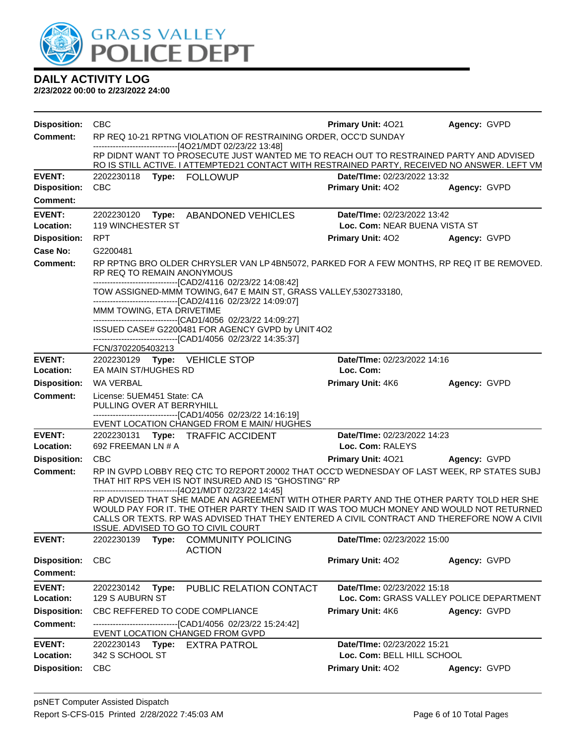

| <b>Disposition:</b>                    | <b>CBC</b>                                                                                                                                                                                                                                                                                                                | <b>Primary Unit: 4021</b>                       | Agency: GVPD                             |  |  |
|----------------------------------------|---------------------------------------------------------------------------------------------------------------------------------------------------------------------------------------------------------------------------------------------------------------------------------------------------------------------------|-------------------------------------------------|------------------------------------------|--|--|
| <b>Comment:</b>                        | RP REQ 10-21 RPTNG VIOLATION OF RESTRAINING ORDER, OCC'D SUNDAY<br>------------------------------[4O21/MDT 02/23/22 13:48]<br>RP DIDNT WANT TO PROSECUTE JUST WANTED ME TO REACH OUT TO RESTRAINED PARTY AND ADVISED<br>RO IS STILL ACTIVE. I ATTEMPTED21 CONTACT WITH RESTRAINED PARTY, RECEIVED NO ANSWER. LEFT VM      |                                                 |                                          |  |  |
|                                        |                                                                                                                                                                                                                                                                                                                           |                                                 |                                          |  |  |
| <b>EVENT:</b>                          | 2202230118 Type: FOLLOWUP                                                                                                                                                                                                                                                                                                 | Date/TIme: 02/23/2022 13:32                     |                                          |  |  |
| <b>Disposition:</b><br><b>Comment:</b> | <b>CBC</b>                                                                                                                                                                                                                                                                                                                | <b>Primary Unit: 402</b>                        | Agency: GVPD                             |  |  |
| <b>EVENT:</b>                          | 2202230120 Type: ABANDONED VEHICLES                                                                                                                                                                                                                                                                                       | Date/TIme: 02/23/2022 13:42                     |                                          |  |  |
| Location:                              | 119 WINCHESTER ST                                                                                                                                                                                                                                                                                                         | Loc. Com: NEAR BUENA VISTA ST                   |                                          |  |  |
| <b>Disposition:</b>                    | <b>RPT</b>                                                                                                                                                                                                                                                                                                                | <b>Primary Unit: 402</b>                        | Agency: GVPD                             |  |  |
| Case No:                               | G2200481                                                                                                                                                                                                                                                                                                                  |                                                 |                                          |  |  |
| <b>Comment:</b>                        | RP RPTNG BRO OLDER CHRYSLER VAN LP 4BN5072, PARKED FOR A FEW MONTHS, RP REQ IT BE REMOVED.<br>RP REQ TO REMAIN ANONYMOUS                                                                                                                                                                                                  |                                                 |                                          |  |  |
|                                        | -------------------------------[CAD2/4116 02/23/22 14:08:42]<br>TOW ASSIGNED-MMM TOWING, 647 E MAIN ST, GRASS VALLEY, 5302733180,<br>-------------------------------[CAD2/4116 02/23/22 14:09:07]                                                                                                                         |                                                 |                                          |  |  |
|                                        | MMM TOWING, ETA DRIVETIME<br>-------------------------------[CAD1/4056 02/23/22 14:09:27]                                                                                                                                                                                                                                 |                                                 |                                          |  |  |
|                                        | ISSUED CASE# G2200481 FOR AGENCY GVPD by UNIT 4O2<br>------------------------------[CAD1/4056 02/23/22 14:35:37]<br>FCN/3702205403213                                                                                                                                                                                     |                                                 |                                          |  |  |
| <b>EVENT:</b>                          | 2202230129 Type: VEHICLE STOP                                                                                                                                                                                                                                                                                             | Date/TIme: 02/23/2022 14:16                     |                                          |  |  |
| Location:                              | EA MAIN ST/HUGHES RD<br>Loc. Com:                                                                                                                                                                                                                                                                                         |                                                 |                                          |  |  |
| <b>Disposition:</b>                    | WA VERBAL                                                                                                                                                                                                                                                                                                                 | <b>Primary Unit: 4K6</b>                        | Agency: GVPD                             |  |  |
| <b>Comment:</b>                        | License: 5UEM451 State: CA<br>PULLING OVER AT BERRYHILL<br>------------------------------[CAD1/4056 02/23/22 14:16:19]                                                                                                                                                                                                    |                                                 |                                          |  |  |
|                                        | EVENT LOCATION CHANGED FROM E MAIN/ HUGHES                                                                                                                                                                                                                                                                                |                                                 |                                          |  |  |
| <b>EVENT:</b><br>Location:             | 2202230131 Type: TRAFFIC ACCIDENT<br>692 FREEMAN LN # A                                                                                                                                                                                                                                                                   | Date/TIme: 02/23/2022 14:23<br>Loc. Com: RALEYS |                                          |  |  |
| <b>Disposition:</b>                    | <b>CBC</b>                                                                                                                                                                                                                                                                                                                | Primary Unit: 4021                              | Agency: GVPD                             |  |  |
| <b>Comment:</b>                        | RP IN GVPD LOBBY REQ CTC TO REPORT 20002 THAT OCC'D WEDNESDAY OF LAST WEEK, RP STATES SUBJ<br>THAT HIT RPS VEH IS NOT INSURED AND IS "GHOSTING" RP<br>-------------------------------[4O21/MDT 02/23/22 14:45]                                                                                                            |                                                 |                                          |  |  |
|                                        | RP ADVISED THAT SHE MADE AN AGREEMENT WITH OTHER PARTY AND THE OTHER PARTY TOLD HER SHE<br>WOULD PAY FOR IT. THE OTHER PARTY THEN SAID IT WAS TOO MUCH MONEY AND WOULD NOT RETURNED<br>CALLS OR TEXTS. RP WAS ADVISED THAT THEY ENTERED A CIVIL CONTRACT AND THEREFORE NOW A CIVII<br>ISSUE. ADVISED TO GO TO CIVIL COURT |                                                 |                                          |  |  |
| <b>EVENT:</b>                          | 2202230139<br>Type:<br><b>COMMUNITY POLICING</b><br><b>ACTION</b>                                                                                                                                                                                                                                                         | <b>Date/TIme: 02/23/2022 15:00</b>              |                                          |  |  |
| <b>Disposition:</b>                    | <b>CBC</b>                                                                                                                                                                                                                                                                                                                | <b>Primary Unit: 402</b>                        | Agency: GVPD                             |  |  |
| <b>Comment:</b>                        |                                                                                                                                                                                                                                                                                                                           |                                                 |                                          |  |  |
| <b>EVENT:</b><br>Location:             | PUBLIC RELATION CONTACT<br>2202230142<br>Type:<br>129 S AUBURN ST                                                                                                                                                                                                                                                         | Date/TIme: 02/23/2022 15:18                     | Loc. Com: GRASS VALLEY POLICE DEPARTMENT |  |  |
| <b>Disposition:</b>                    | CBC REFFERED TO CODE COMPLIANCE                                                                                                                                                                                                                                                                                           | Primary Unit: 4K6                               | Agency: GVPD                             |  |  |
| <b>Comment:</b>                        | ----------------------[CAD1/4056_02/23/22 15:24:42]<br>EVENT LOCATION CHANGED FROM GVPD                                                                                                                                                                                                                                   |                                                 |                                          |  |  |
| <b>EVENT:</b>                          | 2202230143 Type:<br><b>EXTRA PATROL</b>                                                                                                                                                                                                                                                                                   | Date/TIme: 02/23/2022 15:21                     |                                          |  |  |
| Location:                              | 342 S SCHOOL ST                                                                                                                                                                                                                                                                                                           | Loc. Com: BELL HILL SCHOOL                      |                                          |  |  |
| <b>Disposition:</b>                    | <b>CBC</b>                                                                                                                                                                                                                                                                                                                | Primary Unit: 402                               | Agency: GVPD                             |  |  |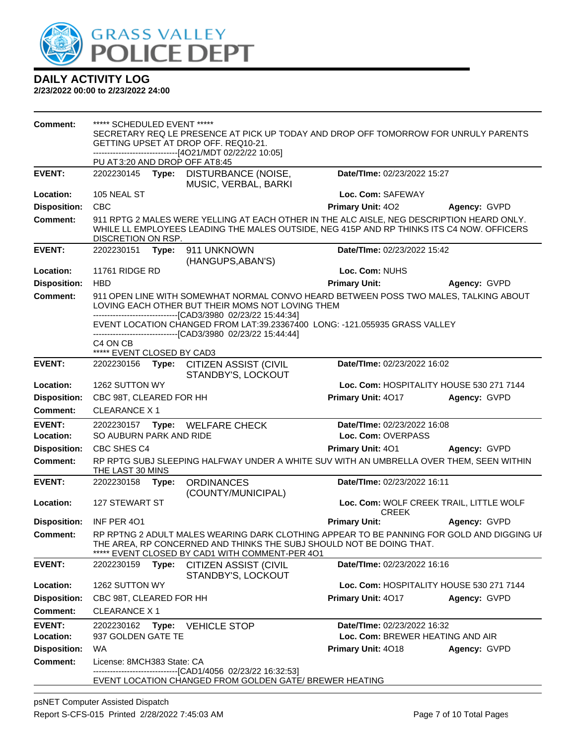

| <b>Comment:</b>     | ***** SCHEDULED EVENT *****<br>SECRETARY REQ LE PRESENCE AT PICK UP TODAY AND DROP OFF TOMORROW FOR UNRULY PARENTS<br>GETTING UPSET AT DROP OFF. REQ10-21.<br>------------------------------[4O21/MDT 02/22/22 10:05]<br>PU AT3:20 AND DROP OFF AT8:45                                                                                                  |                                                                                                                                                                                                                      |                                          |                                          |  |
|---------------------|---------------------------------------------------------------------------------------------------------------------------------------------------------------------------------------------------------------------------------------------------------------------------------------------------------------------------------------------------------|----------------------------------------------------------------------------------------------------------------------------------------------------------------------------------------------------------------------|------------------------------------------|------------------------------------------|--|
| <b>EVENT:</b>       | 2202230145<br>Type:                                                                                                                                                                                                                                                                                                                                     | DISTURBANCE (NOISE,                                                                                                                                                                                                  | Date/TIme: 02/23/2022 15:27              |                                          |  |
|                     |                                                                                                                                                                                                                                                                                                                                                         | MUSIC, VERBAL, BARKI                                                                                                                                                                                                 |                                          |                                          |  |
| Location:           | 105 NEAL ST                                                                                                                                                                                                                                                                                                                                             |                                                                                                                                                                                                                      | Loc. Com: SAFEWAY                        |                                          |  |
| <b>Disposition:</b> | <b>CBC</b>                                                                                                                                                                                                                                                                                                                                              |                                                                                                                                                                                                                      | Primary Unit: 402                        | Agency: GVPD                             |  |
| <b>Comment:</b>     | DISCRETION ON RSP.                                                                                                                                                                                                                                                                                                                                      | 911 RPTG 2 MALES WERE YELLING AT EACH OTHER IN THE ALC AISLE, NEG DESCRIPTION HEARD ONLY.<br>WHILE LL EMPLOYEES LEADING THE MALES OUTSIDE, NEG 415P AND RP THINKS ITS C4 NOW. OFFICERS                               |                                          |                                          |  |
| <b>EVENT:</b>       | 2202230151 Type:                                                                                                                                                                                                                                                                                                                                        | 911 UNKNOWN<br>(HANGUPS, ABAN'S)                                                                                                                                                                                     | Date/TIme: 02/23/2022 15:42              |                                          |  |
| Location:           | 11761 RIDGE RD                                                                                                                                                                                                                                                                                                                                          |                                                                                                                                                                                                                      | Loc. Com: NUHS                           |                                          |  |
| <b>Disposition:</b> | <b>HBD</b>                                                                                                                                                                                                                                                                                                                                              |                                                                                                                                                                                                                      | <b>Primary Unit:</b>                     | Agency: GVPD                             |  |
| <b>Comment:</b>     | 911 OPEN LINE WITH SOMEWHAT NORMAL CONVO HEARD BETWEEN POSS TWO MALES, TALKING ABOUT<br>LOVING EACH OTHER BUT THEIR MOMS NOT LOVING THEM<br>--------------------------------[CAD3/3980 02/23/22 15:44:34]<br>EVENT LOCATION CHANGED FROM LAT:39.23367400 LONG: -121.055935 GRASS VALLEY<br>-------------------------------[CAD3/3980_02/23/22 15:44:44] |                                                                                                                                                                                                                      |                                          |                                          |  |
|                     | C <sub>4</sub> ON C <sub>B</sub><br>***** EVENT CLOSED BY CAD3                                                                                                                                                                                                                                                                                          |                                                                                                                                                                                                                      |                                          |                                          |  |
| <b>EVENT:</b>       | 2202230156 Type:                                                                                                                                                                                                                                                                                                                                        | CITIZEN ASSIST (CIVIL<br>STANDBY'S, LOCKOUT                                                                                                                                                                          | Date/TIme: 02/23/2022 16:02              |                                          |  |
| Location:           | 1262 SUTTON WY                                                                                                                                                                                                                                                                                                                                          |                                                                                                                                                                                                                      | Loc. Com: HOSPITALITY HOUSE 530 271 7144 |                                          |  |
| <b>Disposition:</b> | CBC 98T, CLEARED FOR HH                                                                                                                                                                                                                                                                                                                                 |                                                                                                                                                                                                                      | Primary Unit: 4017                       | Agency: GVPD                             |  |
| <b>Comment:</b>     | <b>CLEARANCE X1</b>                                                                                                                                                                                                                                                                                                                                     |                                                                                                                                                                                                                      |                                          |                                          |  |
| <b>EVENT:</b>       | 2202230157 Type:                                                                                                                                                                                                                                                                                                                                        | WELFARE CHECK                                                                                                                                                                                                        | Date/TIme: 02/23/2022 16:08              |                                          |  |
| Location:           | SO AUBURN PARK AND RIDE                                                                                                                                                                                                                                                                                                                                 |                                                                                                                                                                                                                      | Loc. Com: OVERPASS                       |                                          |  |
| <b>Disposition:</b> | CBC SHES C4                                                                                                                                                                                                                                                                                                                                             |                                                                                                                                                                                                                      | Primary Unit: 401                        | Agency: GVPD                             |  |
| <b>Comment:</b>     | THE LAST 30 MINS                                                                                                                                                                                                                                                                                                                                        | RP RPTG SUBJ SLEEPING HALFWAY UNDER A WHITE SUV WITH AN UMBRELLA OVER THEM, SEEN WITHIN                                                                                                                              |                                          |                                          |  |
| <b>EVENT:</b>       | 2202230158 Type:                                                                                                                                                                                                                                                                                                                                        | <b>ORDINANCES</b><br>(COUNTY/MUNICIPAL)                                                                                                                                                                              | Date/TIme: 02/23/2022 16:11              |                                          |  |
| Location:           | <b>127 STEWART ST</b>                                                                                                                                                                                                                                                                                                                                   |                                                                                                                                                                                                                      | <b>CREEK</b>                             | Loc. Com: WOLF CREEK TRAIL, LITTLE WOLF  |  |
| <b>Disposition:</b> | INF PER 401                                                                                                                                                                                                                                                                                                                                             |                                                                                                                                                                                                                      | <b>Primary Unit:</b>                     | Agency: GVPD                             |  |
| <b>Comment:</b>     |                                                                                                                                                                                                                                                                                                                                                         | RP RPTNG 2 ADULT MALES WEARING DARK CLOTHING APPEAR TO BE PANNING FOR GOLD AND DIGGING UF<br>THE AREA, RP CONCERNED AND THINKS THE SUBJ SHOULD NOT BE DOING THAT.<br>***** EVENT CLOSED BY CAD1 WITH COMMENT-PER 4O1 |                                          |                                          |  |
| <b>EVENT:</b>       | 2202230159<br>Type:                                                                                                                                                                                                                                                                                                                                     | <b>CITIZEN ASSIST (CIVIL</b><br>STANDBY'S, LOCKOUT                                                                                                                                                                   | Date/TIme: 02/23/2022 16:16              |                                          |  |
| Location:           | 1262 SUTTON WY                                                                                                                                                                                                                                                                                                                                          |                                                                                                                                                                                                                      |                                          | Loc. Com: HOSPITALITY HOUSE 530 271 7144 |  |
| <b>Disposition:</b> | CBC 98T, CLEARED FOR HH                                                                                                                                                                                                                                                                                                                                 |                                                                                                                                                                                                                      | Primary Unit: 4017                       | Agency: GVPD                             |  |
| <b>Comment:</b>     | <b>CLEARANCE X1</b>                                                                                                                                                                                                                                                                                                                                     |                                                                                                                                                                                                                      |                                          |                                          |  |
| <b>EVENT:</b>       | 2202230162<br>Type:                                                                                                                                                                                                                                                                                                                                     | <b>VEHICLE STOP</b>                                                                                                                                                                                                  | Date/TIme: 02/23/2022 16:32              |                                          |  |
| Location:           | 937 GOLDEN GATE TE                                                                                                                                                                                                                                                                                                                                      |                                                                                                                                                                                                                      | Loc. Com: BREWER HEATING AND AIR         |                                          |  |
| <b>Disposition:</b> | WA                                                                                                                                                                                                                                                                                                                                                      |                                                                                                                                                                                                                      | <b>Primary Unit: 4018</b>                | Agency: GVPD                             |  |
| <b>Comment:</b>     | License: 8MCH383 State: CA                                                                                                                                                                                                                                                                                                                              |                                                                                                                                                                                                                      |                                          |                                          |  |
|                     |                                                                                                                                                                                                                                                                                                                                                         | --------------------------------[CAD1/4056 02/23/22 16:32:53]<br>EVENT LOCATION CHANGED FROM GOLDEN GATE/ BREWER HEATING                                                                                             |                                          |                                          |  |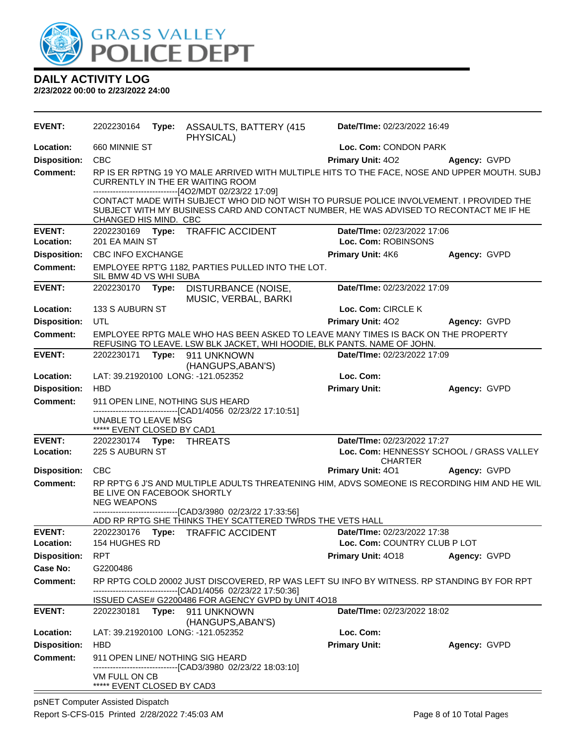![](_page_7_Picture_0.jpeg)

**2/23/2022 00:00 to 2/23/2022 24:00**

| <b>EVENT:</b>       | 2202230164                                        | Type: | <b>ASSAULTS, BATTERY (415)</b><br>PHYSICAL)                                                                                                                                       | Date/TIme: 02/23/2022 16:49                                                                  |                                          |  |
|---------------------|---------------------------------------------------|-------|-----------------------------------------------------------------------------------------------------------------------------------------------------------------------------------|----------------------------------------------------------------------------------------------|------------------------------------------|--|
| Location:           | 660 MINNIE ST                                     |       |                                                                                                                                                                                   | Loc. Com: CONDON PARK                                                                        |                                          |  |
| <b>Disposition:</b> | <b>CBC</b>                                        |       |                                                                                                                                                                                   | <b>Primary Unit: 402</b>                                                                     | Agency: GVPD                             |  |
| Comment:            |                                                   |       | CURRENTLY IN THE ER WAITING ROOM<br>-------------------------------[4O2/MDT 02/23/22 17:09]                                                                                       | RP IS ER RPTNG 19 YO MALE ARRIVED WITH MULTIPLE HITS TO THE FACE, NOSE AND UPPER MOUTH. SUBJ |                                          |  |
|                     | CHANGED HIS MIND. CBC                             |       | CONTACT MADE WITH SUBJECT WHO DID NOT WISH TO PURSUE POLICE INVOLVEMENT. I PROVIDED THE<br>SUBJECT WITH MY BUSINESS CARD AND CONTACT NUMBER, HE WAS ADVISED TO RECONTACT ME IF HE |                                                                                              |                                          |  |
| <b>EVENT:</b>       | 2202230169 Type:                                  |       | <b>TRAFFIC ACCIDENT</b>                                                                                                                                                           | Date/TIme: 02/23/2022 17:06                                                                  |                                          |  |
| Location:           | 201 EA MAIN ST                                    |       |                                                                                                                                                                                   | Loc. Com: ROBINSONS                                                                          |                                          |  |
| <b>Disposition:</b> | <b>CBC INFO EXCHANGE</b>                          |       |                                                                                                                                                                                   | Primary Unit: 4K6                                                                            | Agency: GVPD                             |  |
| <b>Comment:</b>     | SIL BMW 4D VS WHI SUBA                            |       | EMPLOYEE RPT'G 1182, PARTIES PULLED INTO THE LOT.                                                                                                                                 |                                                                                              |                                          |  |
| <b>EVENT:</b>       |                                                   |       | 2202230170 Type: DISTURBANCE (NOISE,<br>MUSIC, VERBAL, BARKI                                                                                                                      | Date/TIme: 02/23/2022 17:09                                                                  |                                          |  |
| Location:           | 133 S AUBURN ST                                   |       |                                                                                                                                                                                   | Loc. Com: CIRCLE K                                                                           |                                          |  |
| <b>Disposition:</b> | UTL                                               |       |                                                                                                                                                                                   | <b>Primary Unit: 402</b>                                                                     | Agency: GVPD                             |  |
| Comment:            |                                                   |       | EMPLOYEE RPTG MALE WHO HAS BEEN ASKED TO LEAVE MANY TIMES IS BACK ON THE PROPERTY<br>REFUSING TO LEAVE. LSW BLK JACKET, WHI HOODIE, BLK PANTS. NAME OF JOHN.                      |                                                                                              |                                          |  |
| <b>EVENT:</b>       |                                                   |       | 2202230171 Type: 911 UNKNOWN<br>(HANGUPS, ABAN'S)                                                                                                                                 | Date/TIme: 02/23/2022 17:09                                                                  |                                          |  |
| Location:           |                                                   |       | LAT: 39.21920100 LONG: -121.052352                                                                                                                                                | Loc. Com:                                                                                    |                                          |  |
| <b>Disposition:</b> | <b>HBD</b>                                        |       |                                                                                                                                                                                   | <b>Primary Unit:</b>                                                                         | Agency: GVPD                             |  |
| <b>Comment:</b>     |                                                   |       | 911 OPEN LINE, NOTHING SUS HEARD<br>-------------------------------[CAD1/4056 02/23/22 17:10:51]                                                                                  |                                                                                              |                                          |  |
|                     | UNABLE TO LEAVE MSG<br>***** EVENT CLOSED BY CAD1 |       |                                                                                                                                                                                   |                                                                                              |                                          |  |
| <b>EVENT:</b>       | 2202230174 Type: THREATS                          |       |                                                                                                                                                                                   | Date/TIme: 02/23/2022 17:27                                                                  |                                          |  |
| Location:           | 225 S AUBURN ST                                   |       |                                                                                                                                                                                   | <b>CHARTER</b>                                                                               | Loc. Com: HENNESSY SCHOOL / GRASS VALLEY |  |
| <b>Disposition:</b> | <b>CBC</b>                                        |       |                                                                                                                                                                                   | Primary Unit: 401                                                                            | Agency: GVPD                             |  |
| <b>Comment:</b>     | BE LIVE ON FACEBOOK SHORTLY<br><b>NEG WEAPONS</b> |       | RP RPT'G 6 J'S AND MULTIPLE ADULTS THREATENING HIM, ADVS SOMEONE IS RECORDING HIM AND HE WILL                                                                                     |                                                                                              |                                          |  |
|                     |                                                   |       | ----------------------------------[CAD3/3980 02/23/22 17:33:56]<br>ADD RP RPTG SHE THINKS THEY SCATTERED TWRDS THE VETS HALL                                                      |                                                                                              |                                          |  |
| <b>EVENT:</b>       |                                                   |       | 2202230176 Type: TRAFFIC ACCIDENT                                                                                                                                                 | Date/TIme: 02/23/2022 17:38                                                                  |                                          |  |
| Location:           | 154 HUGHES RD                                     |       |                                                                                                                                                                                   | Loc. Com: COUNTRY CLUB P LOT                                                                 |                                          |  |
| <b>Disposition:</b> | <b>RPT</b>                                        |       |                                                                                                                                                                                   | Primary Unit: 4018                                                                           | Agency: GVPD                             |  |
| Case No:            | G2200486                                          |       |                                                                                                                                                                                   |                                                                                              |                                          |  |
| Comment:            |                                                   |       | RP RPTG COLD 20002 JUST DISCOVERED, RP WAS LEFT SU INFO BY WITNESS. RP STANDING BY FOR RPT                                                                                        |                                                                                              |                                          |  |
|                     |                                                   |       | -------------------------------[CAD1/4056 02/23/22 17:50:36]<br>ISSUED CASE# G2200486 FOR AGENCY GVPD by UNIT 4O18                                                                |                                                                                              |                                          |  |
| <b>EVENT:</b>       |                                                   |       | 2202230181 Type: 911 UNKNOWN<br>(HANGUPS, ABAN'S)                                                                                                                                 | Date/TIme: 02/23/2022 18:02                                                                  |                                          |  |
| Location:           |                                                   |       | LAT: 39.21920100 LONG: -121.052352                                                                                                                                                | Loc. Com:                                                                                    |                                          |  |
| <b>Disposition:</b> | <b>HBD</b>                                        |       |                                                                                                                                                                                   | <b>Primary Unit:</b>                                                                         | Agency: GVPD                             |  |
| <b>Comment:</b>     |                                                   |       | 911 OPEN LINE/ NOTHING SIG HEARD<br>-----------------[CAD3/3980_02/23/22 18:03:10]                                                                                                |                                                                                              |                                          |  |
|                     | VM FULL ON CB<br>***** EVENT CLOSED BY CAD3       |       |                                                                                                                                                                                   |                                                                                              |                                          |  |

psNET Computer Assisted Dispatch Report S-CFS-015 Printed 2/28/2022 7:45:03 AM Page 8 of 10 Total Pages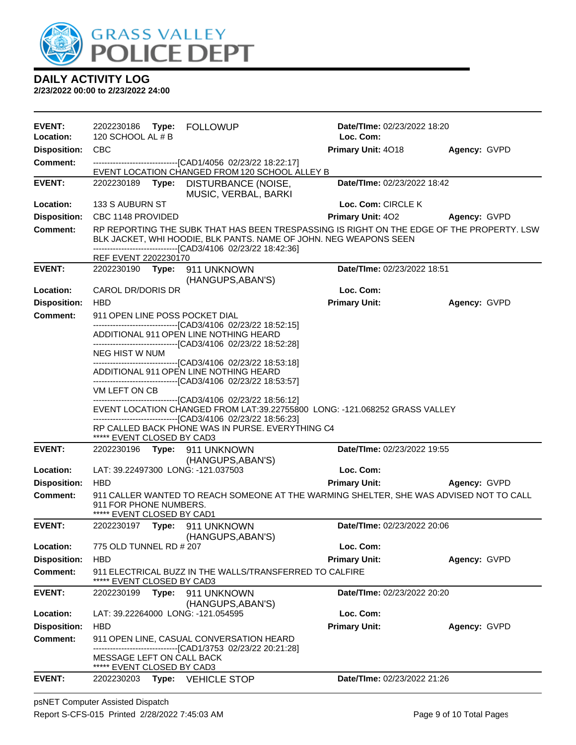![](_page_8_Picture_0.jpeg)

| <b>EVENT:</b>       |                                                         |       | 2202230186 Type: FOLLOWUP                                                                                                                                                                                                                                                                                                                                                                                                                             | Date/TIme: 02/23/2022 18:20                                                                                                                                    |              |
|---------------------|---------------------------------------------------------|-------|-------------------------------------------------------------------------------------------------------------------------------------------------------------------------------------------------------------------------------------------------------------------------------------------------------------------------------------------------------------------------------------------------------------------------------------------------------|----------------------------------------------------------------------------------------------------------------------------------------------------------------|--------------|
| Location:           | 120 SCHOOL AL # B                                       |       |                                                                                                                                                                                                                                                                                                                                                                                                                                                       | Loc. Com:                                                                                                                                                      |              |
| <b>Disposition:</b> | <b>CBC</b>                                              |       |                                                                                                                                                                                                                                                                                                                                                                                                                                                       | Primary Unit: 4018                                                                                                                                             | Agency: GVPD |
| <b>Comment:</b>     |                                                         |       | --------------------------------[CAD1/4056 02/23/22 18:22:17]<br>EVENT LOCATION CHANGED FROM 120 SCHOOL ALLEY B                                                                                                                                                                                                                                                                                                                                       |                                                                                                                                                                |              |
| <b>EVENT:</b>       | 2202230189                                              |       | Type: DISTURBANCE (NOISE,                                                                                                                                                                                                                                                                                                                                                                                                                             | Date/TIme: 02/23/2022 18:42                                                                                                                                    |              |
|                     |                                                         |       | MUSIC, VERBAL, BARKI                                                                                                                                                                                                                                                                                                                                                                                                                                  |                                                                                                                                                                |              |
| Location:           | 133 S AUBURN ST                                         |       |                                                                                                                                                                                                                                                                                                                                                                                                                                                       | Loc. Com: CIRCLE K                                                                                                                                             |              |
| <b>Disposition:</b> | CBC 1148 PROVIDED                                       |       |                                                                                                                                                                                                                                                                                                                                                                                                                                                       | <b>Primary Unit: 402</b>                                                                                                                                       | Agency: GVPD |
| <b>Comment:</b>     |                                                         |       | -------------------------------[CAD3/4106 02/23/22 18:42:36]                                                                                                                                                                                                                                                                                                                                                                                          | RP REPORTING THE SUBK THAT HAS BEEN TRESPASSING IS RIGHT ON THE EDGE OF THE PROPERTY. LSW<br>BLK JACKET, WHI HOODIE, BLK PANTS. NAME OF JOHN. NEG WEAPONS SEEN |              |
|                     | REF EVENT 2202230170                                    |       |                                                                                                                                                                                                                                                                                                                                                                                                                                                       |                                                                                                                                                                |              |
| <b>EVENT:</b>       |                                                         |       | 2202230190 Type: 911 UNKNOWN<br>(HANGUPS, ABAN'S)                                                                                                                                                                                                                                                                                                                                                                                                     | Date/TIme: 02/23/2022 18:51                                                                                                                                    |              |
| Location:           | CAROL DR/DORIS DR                                       |       |                                                                                                                                                                                                                                                                                                                                                                                                                                                       | Loc. Com:                                                                                                                                                      |              |
| <b>Disposition:</b> | <b>HBD</b>                                              |       |                                                                                                                                                                                                                                                                                                                                                                                                                                                       | <b>Primary Unit:</b>                                                                                                                                           | Agency: GVPD |
| <b>Comment:</b>     | NEG HIST W NUM<br>VM LEFT ON CB                         |       | 911 OPEN LINE POSS POCKET DIAL<br>-------------------------------[CAD3/4106 02/23/22 18:52:15]<br>ADDITIONAL 911 OPEN LINE NOTHING HEARD<br>--------------------------------[CAD3/4106 02/23/22 18:52:28]<br>-------------------------------[CAD3/4106 02/23/22 18:53:18]<br>ADDITIONAL 911 OPEN LINE NOTHING HEARD<br>--------------------------------[CAD3/4106 02/23/22 18:53:57]<br>--------------------------------[CAD3/4106 02/23/22 18:56:12] |                                                                                                                                                                |              |
|                     |                                                         |       | --------------------------------[CAD3/4106 02/23/22 18:56:23]<br>RP CALLED BACK PHONE WAS IN PURSE. EVERYTHING C4                                                                                                                                                                                                                                                                                                                                     | EVENT LOCATION CHANGED FROM LAT:39.22755800 LONG: -121.068252 GRASS VALLEY                                                                                     |              |
| <b>EVENT:</b>       | ***** EVENT CLOSED BY CAD3                              |       | 2202230196    Type: 911    UNKNOWN                                                                                                                                                                                                                                                                                                                                                                                                                    | Date/TIme: 02/23/2022 19:55                                                                                                                                    |              |
|                     |                                                         |       | (HANGUPS, ABAN'S)                                                                                                                                                                                                                                                                                                                                                                                                                                     |                                                                                                                                                                |              |
| Location:           |                                                         |       | LAT: 39.22497300 LONG: -121.037503                                                                                                                                                                                                                                                                                                                                                                                                                    | Loc. Com:                                                                                                                                                      |              |
| <b>Disposition:</b> | <b>HBD</b>                                              |       |                                                                                                                                                                                                                                                                                                                                                                                                                                                       | <b>Primary Unit:</b>                                                                                                                                           | Agency: GVPD |
| <b>Comment:</b>     | 911 FOR PHONE NUMBERS.<br>***** EVENT CLOSED BY CAD1    |       |                                                                                                                                                                                                                                                                                                                                                                                                                                                       | 911 CALLER WANTED TO REACH SOMEONE AT THE WARMING SHELTER, SHE WAS ADVISED NOT TO CALL                                                                         |              |
| <b>EVENT:</b>       |                                                         |       | 2202230197 Type: 911 UNKNOWN                                                                                                                                                                                                                                                                                                                                                                                                                          | Date/TIme: 02/23/2022 20:06                                                                                                                                    |              |
| Location:           |                                                         |       | (HANGUPS, ABAN'S)                                                                                                                                                                                                                                                                                                                                                                                                                                     | Loc. Com:                                                                                                                                                      |              |
| <b>Disposition:</b> | 775 OLD TUNNEL RD # 207<br><b>HBD</b>                   |       |                                                                                                                                                                                                                                                                                                                                                                                                                                                       | <b>Primary Unit:</b>                                                                                                                                           | Agency: GVPD |
| <b>Comment:</b>     | ***** EVENT CLOSED BY CAD3                              |       | 911 ELECTRICAL BUZZ IN THE WALLS/TRANSFERRED TO CALFIRE                                                                                                                                                                                                                                                                                                                                                                                               |                                                                                                                                                                |              |
| <b>EVENT:</b>       | 2202230199                                              | Type: | 911 UNKNOWN<br>(HANGUPS, ABAN'S)                                                                                                                                                                                                                                                                                                                                                                                                                      | Date/TIme: 02/23/2022 20:20                                                                                                                                    |              |
| Location:           |                                                         |       | LAT: 39.22264000 LONG: -121.054595                                                                                                                                                                                                                                                                                                                                                                                                                    | Loc. Com:                                                                                                                                                      |              |
| <b>Disposition:</b> | <b>HBD</b>                                              |       |                                                                                                                                                                                                                                                                                                                                                                                                                                                       | <b>Primary Unit:</b>                                                                                                                                           | Agency: GVPD |
| <b>Comment:</b>     |                                                         |       | 911 OPEN LINE, CASUAL CONVERSATION HEARD<br>-------------------------------[CAD1/3753 02/23/22 20:21:28]                                                                                                                                                                                                                                                                                                                                              |                                                                                                                                                                |              |
|                     | MESSAGE LEFT ON CALL BACK<br>***** EVENT CLOSED BY CAD3 |       |                                                                                                                                                                                                                                                                                                                                                                                                                                                       |                                                                                                                                                                |              |
| <b>EVENT:</b>       | 2202230203                                              |       | Type: VEHICLE STOP                                                                                                                                                                                                                                                                                                                                                                                                                                    | Date/TIme: 02/23/2022 21:26                                                                                                                                    |              |